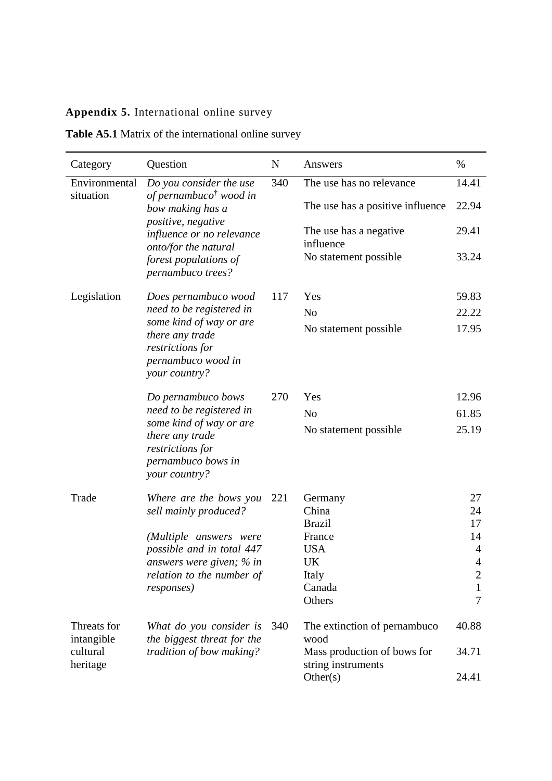## **Appendix 5.** International online survey

| <b>Table A5.1</b> Matrix of the international online survey |  |
|-------------------------------------------------------------|--|
|-------------------------------------------------------------|--|

| Category                   | Question                                                                                              | $\mathbf N$ | Answers                                           | $\%$                           |
|----------------------------|-------------------------------------------------------------------------------------------------------|-------------|---------------------------------------------------|--------------------------------|
| Environmental<br>situation | Do you consider the use<br>of pernambuco <sup>†</sup> wood in                                         | 340         | The use has no relevance                          | 14.41                          |
|                            | bow making has a                                                                                      |             | The use has a positive influence                  | 22.94                          |
|                            | positive, negative<br>influence or no relevance                                                       |             | The use has a negative.<br>influence              | 29.41                          |
|                            | onto/for the natural<br>forest populations of<br>pernambuco trees?                                    |             | No statement possible                             | 33.24                          |
| Legislation                | Does pernambuco wood                                                                                  | 117         | Yes                                               | 59.83                          |
|                            | need to be registered in                                                                              |             | N <sub>o</sub>                                    | 22.22                          |
|                            | some kind of way or are<br>there any trade<br>restrictions for<br>pernambuco wood in<br>your country? |             | No statement possible                             | 17.95                          |
|                            | Do pernambuco bows                                                                                    | 270         | Yes                                               | 12.96                          |
|                            | need to be registered in                                                                              |             | N <sub>o</sub>                                    | 61.85                          |
|                            | some kind of way or are<br>there any trade<br>restrictions for<br>pernambuco bows in<br>your country? |             | No statement possible                             | 25.19                          |
| Trade                      | Where are the bows you                                                                                | 221         | Germany                                           | 27                             |
|                            | sell mainly produced?                                                                                 |             | China                                             | 24                             |
|                            |                                                                                                       |             | <b>Brazil</b>                                     | 17                             |
|                            | (Multiple answers were                                                                                |             | France                                            | 14                             |
|                            | possible and in total 447                                                                             |             | <b>USA</b>                                        | 4                              |
|                            | answers were given; % in                                                                              |             | UK                                                | $\overline{4}$                 |
|                            | relation to the number of                                                                             |             | Italy<br>Canada                                   | $\overline{c}$<br>$\mathbf{1}$ |
|                            | <i>responses</i> )                                                                                    |             | Others                                            | 7                              |
| Threats for<br>intangible  | What do you consider is<br>the biggest threat for the                                                 | 340         | The extinction of pernambuco<br>wood              | 40.88                          |
| cultural<br>heritage       | tradition of bow making?                                                                              |             | Mass production of bows for<br>string instruments | 34.71                          |
|                            |                                                                                                       |             | Other(s)                                          | 24.41                          |